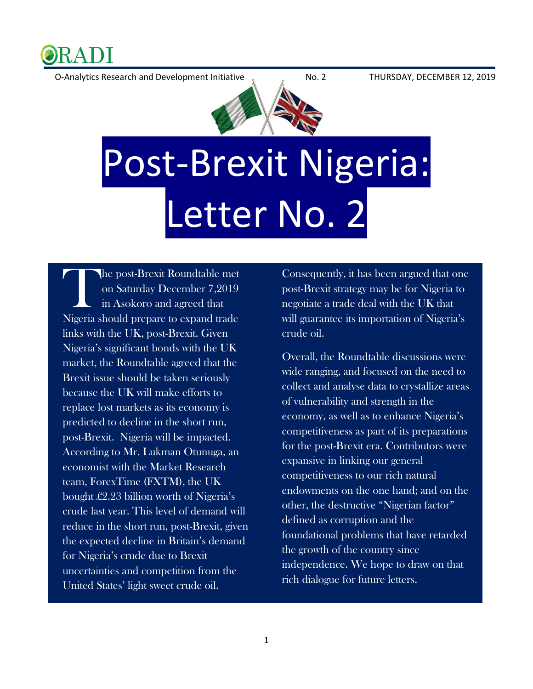

O-Analytics Research and Development Initiative No. 2 THURSDAY, DECEMBER 12, 2019



## Post-Brexit Nigeria: Letter No. 2

he post-Brexit Roundtable met on Saturday December 7,2019 in Asokoro and agreed that Nigeria should prepare to expand trade links with the UK, post-Brexit. Given Nigeria's significant bonds with the UK market, the Roundtable agreed that the Brexit issue should be taken seriously because the UK will make efforts to replace lost markets as its economy is predicted to decline in the short run, post-Brexit. Nigeria will be impacted. According to Mr. Lukman Otunuga, an economist with the Market Research team, ForexTime (FXTM), the UK bought £2.23 billion worth of Nigeria's crude last year. This level of demand will reduce in the short run, post-Brexit, given the expected decline in Britain's demand for Nigeria's crude due to Brexit uncertainties and competition from the United States' light sweet crude oil. **Theorie** 

Consequently, it has been argued that one post-Brexit strategy may be for Nigeria to negotiate a trade deal with the UK that will guarantee its importation of Nigeria's crude oil.

Overall, the Roundtable discussions were wide ranging, and focused on the need to collect and analyse data to crystallize areas of vulnerability and strength in the economy, as well as to enhance Nigeria's competitiveness as part of its preparations for the post-Brexit era. Contributors were expansive in linking our general competitiveness to our rich natural endowments on the one hand; and on the other, the destructive "Nigerian factor" defined as corruption and the foundational problems that have retarded the growth of the country since independence. We hope to draw on that rich dialogue for future letters.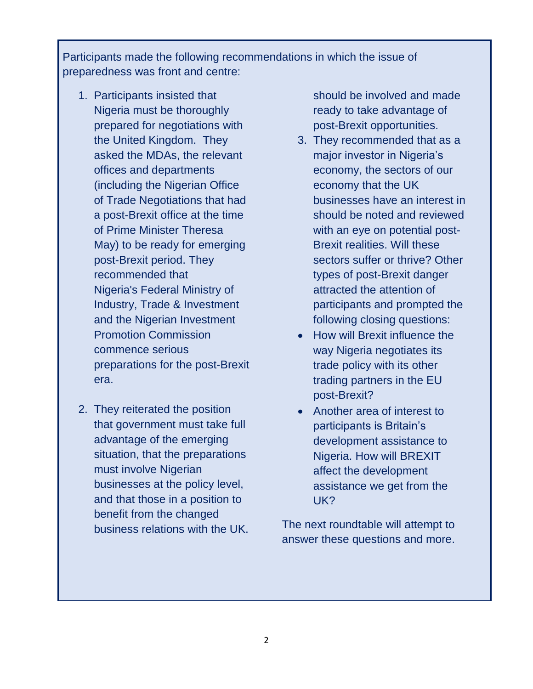Participants made the following recommendations in which the issue of preparedness was front and centre:

- 1. Participants insisted that Nigeria must be thoroughly prepared for negotiations with the United Kingdom. They asked the MDAs, the relevant offices and departments (including the Nigerian Office of Trade Negotiations that had a post-Brexit office at the time of Prime Minister Theresa May) to be ready for emerging post-Brexit period. They recommended that Nigeria's Federal Ministry of Industry, Trade & Investment and the Nigerian Investment Promotion Commission commence serious preparations for the post-Brexit era.
- 2. They reiterated the position that government must take full advantage of the emerging situation, that the preparations must involve Nigerian businesses at the policy level, and that those in a position to benefit from the changed business relations with the UK.

should be involved and made ready to take advantage of post-Brexit opportunities.

- 3. They recommended that as a major investor in Nigeria's economy, the sectors of our economy that the UK businesses have an interest in should be noted and reviewed with an eye on potential post-Brexit realities. Will these sectors suffer or thrive? Other types of post-Brexit danger attracted the attention of participants and prompted the following closing questions:
- How will Brexit influence the way Nigeria negotiates its trade policy with its other trading partners in the EU post-Brexit?
- Another area of interest to participants is Britain's development assistance to Nigeria. How will BREXIT affect the development assistance we get from the UK?

The next roundtable will attempt to answer these questions and more.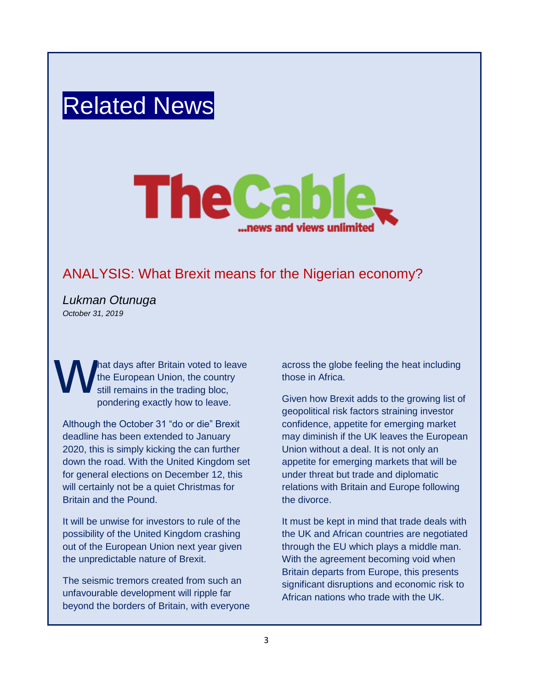## Related News



## ANALYSIS: What Brexit means for the Nigerian economy?

*Lukman Otunuga October 31, 2019*

hat days after Britain voted to leave the European Union, the country still remains in the trading bloc, pondering exactly how to leave. W<sup></sup>

Although the October 31 "do or die" Brexit deadline has been extended to January 2020, this is simply kicking the can further down the road. With the United Kingdom set for general elections on December 12, this will certainly not be a quiet Christmas for Britain and the Pound.

It will be unwise for investors to rule of the possibility of the United Kingdom crashing out of the European Union next year given the unpredictable nature of Brexit.

The seismic tremors created from such an unfavourable development will ripple far beyond the borders of Britain, with everyone across the globe feeling the heat including those in Africa.

Given how Brexit adds to the growing list of geopolitical risk factors straining investor confidence, appetite for emerging market may diminish if the UK leaves the European Union without a deal. It is not only an appetite for emerging markets that will be under threat but trade and diplomatic relations with Britain and Europe following the divorce.

It must be kept in mind that trade deals with the UK and African countries are negotiated through the EU which plays a middle man. With the agreement becoming void when Britain departs from Europe, this presents significant disruptions and economic risk to African nations who trade with the UK.